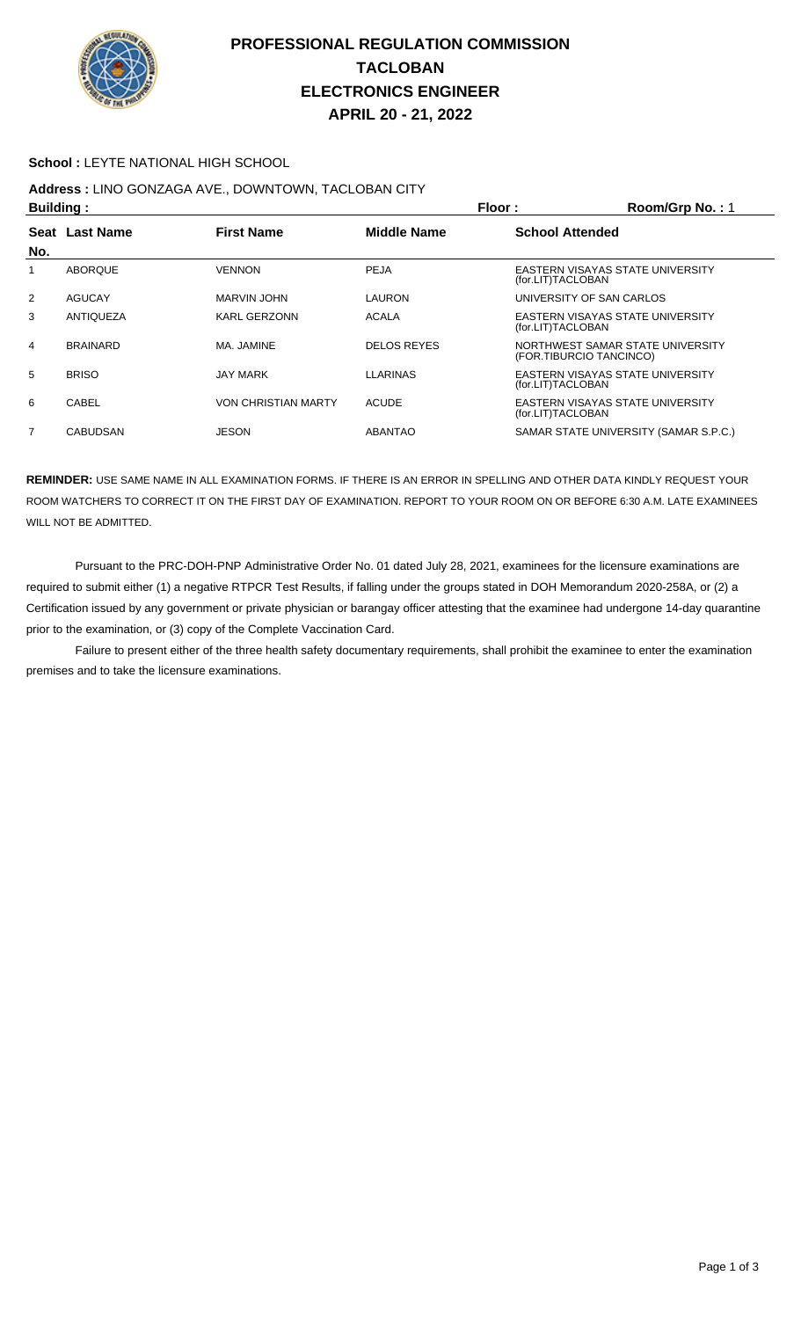

## **PROFESSIONAL REGULATION COMMISSION TACLOBAN ELECTRONICS ENGINEER APRIL 20 - 21, 2022**

#### **School :** LEYTE NATIONAL HIGH SCHOOL

## **Address :** LINO GONZAGA AVE., DOWNTOWN, TACLOBAN CITY

| <b>Building:</b> |                  |                            | Floor:             | Room/Grp No.: 1                                             |  |
|------------------|------------------|----------------------------|--------------------|-------------------------------------------------------------|--|
|                  | Seat Last Name   | <b>First Name</b>          | Middle Name        | <b>School Attended</b>                                      |  |
| No.              |                  |                            |                    |                                                             |  |
|                  | ABOROUE          | <b>VENNON</b>              | PEJA               | EASTERN VISAYAS STATE UNIVERSITY<br>(for.LIT)TACLOBAN       |  |
| 2                | AGUCAY           | MARVIN JOHN                | <b>LAURON</b>      | UNIVERSITY OF SAN CARLOS                                    |  |
| 3                | <b>ANTIQUEZA</b> | <b>KARL GERZONN</b>        | <b>ACALA</b>       | EASTERN VISAYAS STATE UNIVERSITY<br>(for.LIT)TACLOBAN       |  |
| 4                | <b>BRAINARD</b>  | MA. JAMINE                 | <b>DELOS REYES</b> | NORTHWEST SAMAR STATE UNIVERSITY<br>(FOR.TIBURCIO TANCINCO) |  |
| 5                | <b>BRISO</b>     | <b>JAY MARK</b>            | <b>LLARINAS</b>    | EASTERN VISAYAS STATE UNIVERSITY<br>(for.LIT)TACLOBAN       |  |
| 6                | <b>CABEL</b>     | <b>VON CHRISTIAN MARTY</b> | <b>ACUDE</b>       | EASTERN VISAYAS STATE UNIVERSITY<br>(for.LIT)TACLOBAN       |  |
| 7                | <b>CABUDSAN</b>  | JESON                      | <b>ABANTAO</b>     | SAMAR STATE UNIVERSITY (SAMAR S.P.C.)                       |  |

**REMINDER:** USE SAME NAME IN ALL EXAMINATION FORMS. IF THERE IS AN ERROR IN SPELLING AND OTHER DATA KINDLY REQUEST YOUR ROOM WATCHERS TO CORRECT IT ON THE FIRST DAY OF EXAMINATION. REPORT TO YOUR ROOM ON OR BEFORE 6:30 A.M. LATE EXAMINEES WILL NOT BE ADMITTED.

 Pursuant to the PRC-DOH-PNP Administrative Order No. 01 dated July 28, 2021, examinees for the licensure examinations are required to submit either (1) a negative RTPCR Test Results, if falling under the groups stated in DOH Memorandum 2020-258A, or (2) a Certification issued by any government or private physician or barangay officer attesting that the examinee had undergone 14-day quarantine prior to the examination, or (3) copy of the Complete Vaccination Card.

 Failure to present either of the three health safety documentary requirements, shall prohibit the examinee to enter the examination premises and to take the licensure examinations.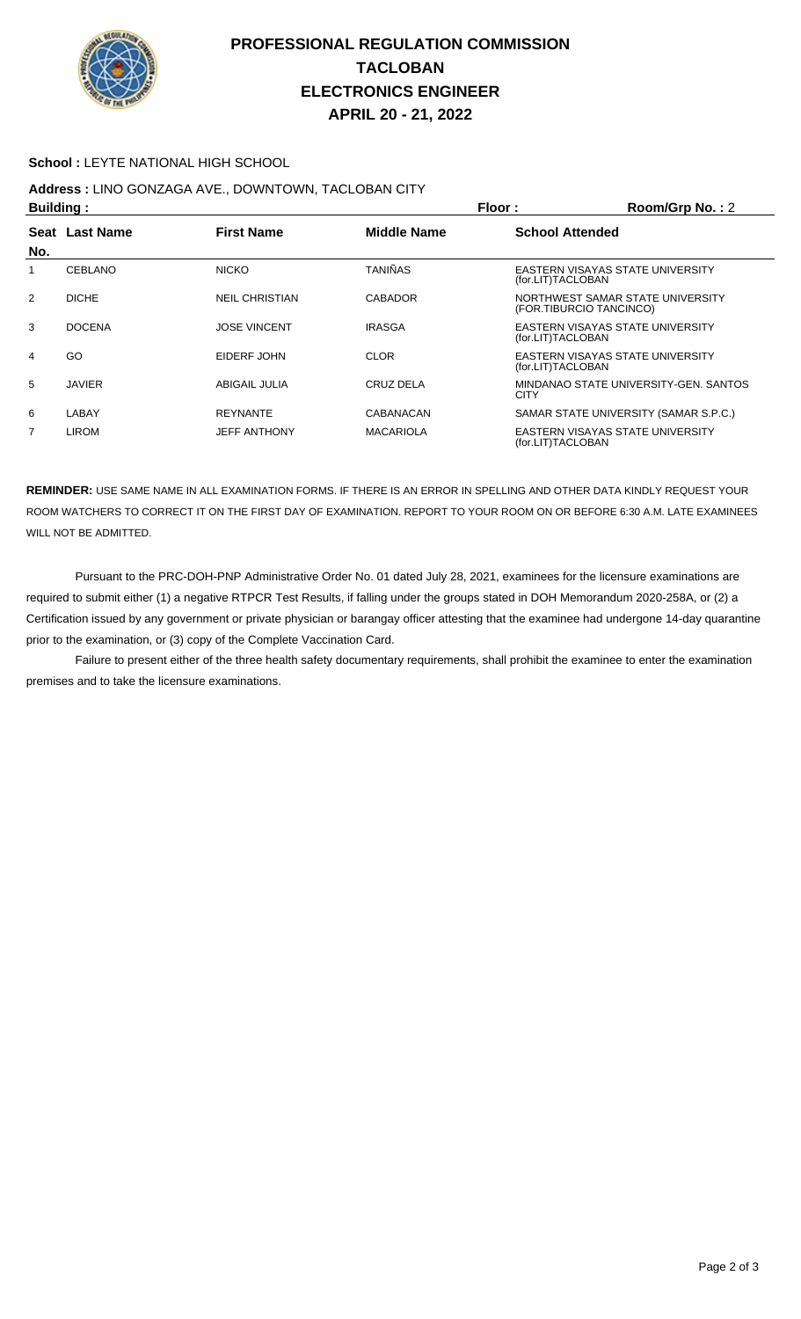

## **PROFESSIONAL REGULATION COMMISSION TACLOBAN ELECTRONICS ENGINEER APRIL 20 - 21, 2022**

#### **School :** LEYTE NATIONAL HIGH SCHOOL

# **Address :** LINO GONZAGA AVE., DOWNTOWN, TACLOBAN CITY

| <b>Building:</b> |                                       |                       |                    | Floor:<br>Room/Grp No.: 2 |                                         |  |
|------------------|---------------------------------------|-----------------------|--------------------|---------------------------|-----------------------------------------|--|
| Seat             | <b>Last Name</b><br><b>First Name</b> |                       | <b>Middle Name</b> |                           | <b>School Attended</b>                  |  |
| No.              |                                       |                       |                    |                           |                                         |  |
|                  | <b>CEBLANO</b>                        | <b>NICKO</b>          | <b>TANIÑAS</b>     | (for.LIT)TACLOBAN         | <b>EASTERN VISAYAS STATE UNIVERSITY</b> |  |
| $\overline{2}$   | <b>DICHE</b>                          | <b>NEIL CHRISTIAN</b> | <b>CABADOR</b>     | (FOR.TIBURCIO TANCINCO)   | NORTHWEST SAMAR STATE UNIVERSITY        |  |
| 3                | <b>DOCENA</b>                         | <b>JOSE VINCENT</b>   | <b>IRASGA</b>      | (for.LIT)TACLOBAN         | EASTERN VISAYAS STATE UNIVERSITY        |  |
| 4                | GO                                    | EIDERF JOHN           | <b>CLOR</b>        | (for.LIT)TACLOBAN         | EASTERN VISAYAS STATE UNIVERSITY        |  |
| 5                | <b>JAVIER</b>                         | ABIGAIL JULIA         | CRUZ DELA          | <b>CITY</b>               | MINDANAO STATE UNIVERSITY-GEN. SANTOS   |  |
| 6                | LABAY                                 | <b>REYNANTE</b>       | CABANACAN          |                           | SAMAR STATE UNIVERSITY (SAMAR S.P.C.)   |  |
| 7                | LIROM                                 | <b>JEFF ANTHONY</b>   | <b>MACARIOLA</b>   | (for.LIT)TACLOBAN         | EASTERN VISAYAS STATE UNIVERSITY        |  |

**REMINDER:** USE SAME NAME IN ALL EXAMINATION FORMS. IF THERE IS AN ERROR IN SPELLING AND OTHER DATA KINDLY REQUEST YOUR ROOM WATCHERS TO CORRECT IT ON THE FIRST DAY OF EXAMINATION. REPORT TO YOUR ROOM ON OR BEFORE 6:30 A.M. LATE EXAMINEES WILL NOT BE ADMITTED.

 Pursuant to the PRC-DOH-PNP Administrative Order No. 01 dated July 28, 2021, examinees for the licensure examinations are required to submit either (1) a negative RTPCR Test Results, if falling under the groups stated in DOH Memorandum 2020-258A, or (2) a Certification issued by any government or private physician or barangay officer attesting that the examinee had undergone 14-day quarantine prior to the examination, or (3) copy of the Complete Vaccination Card.

 Failure to present either of the three health safety documentary requirements, shall prohibit the examinee to enter the examination premises and to take the licensure examinations.